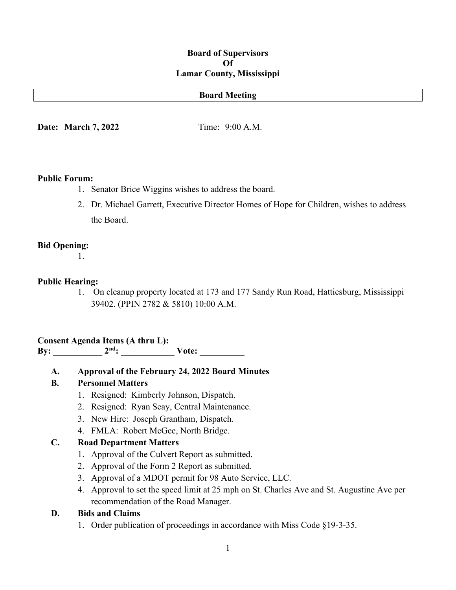#### **Board of Supervisors Of Lamar County, Mississippi**

#### **Board Meeting**

**Date: March 7, 2022** Time: 9:00 A.M.

#### **Public Forum:**

- 1. Senator Brice Wiggins wishes to address the board.
- 2. Dr. Michael Garrett, Executive Director Homes of Hope for Children, wishes to address the Board.

#### **Bid Opening:**

1.

#### **Public Hearing:**

1. On cleanup property located at 173 and 177 Sandy Run Road, Hattiesburg, Mississippi 39402. (PPIN 2782 & 5810) 10:00 A.M.

**Consent Agenda Items (A thru L): By: \_\_\_\_\_\_\_\_\_\_\_ 2nd: \_\_\_\_\_\_\_\_\_\_\_\_ Vote: \_\_\_\_\_\_\_\_\_\_**

**A. Approval of the February 24, 2022 Board Minutes**

### **B. Personnel Matters**

- 1. Resigned: Kimberly Johnson, Dispatch.
- 2. Resigned: Ryan Seay, Central Maintenance.
- 3. New Hire: Joseph Grantham, Dispatch.
- 4. FMLA: Robert McGee, North Bridge.

### **C. Road Department Matters**

- 1. Approval of the Culvert Report as submitted.
- 2. Approval of the Form 2 Report as submitted.
- 3. Approval of a MDOT permit for 98 Auto Service, LLC.
- 4. Approval to set the speed limit at 25 mph on St. Charles Ave and St. Augustine Ave per recommendation of the Road Manager.

#### **D. Bids and Claims**

1. Order publication of proceedings in accordance with Miss Code §19-3-35.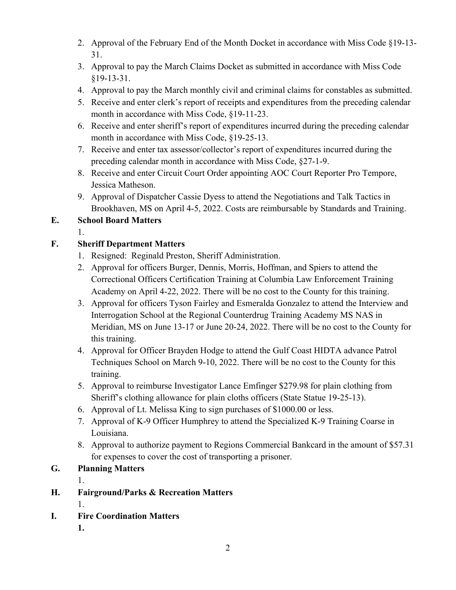- 2. Approval of the February End of the Month Docket in accordance with Miss Code §19-13- 31.
- 3. Approval to pay the March Claims Docket as submitted in accordance with Miss Code §19-13-31.
- 4. Approval to pay the March monthly civil and criminal claims for constables as submitted.
- 5. Receive and enter clerk's report of receipts and expenditures from the preceding calendar month in accordance with Miss Code, §19-11-23.
- 6. Receive and enter sheriff's report of expenditures incurred during the preceding calendar month in accordance with Miss Code, §19-25-13.
- 7. Receive and enter tax assessor/collector's report of expenditures incurred during the preceding calendar month in accordance with Miss Code, §27-1-9.
- 8. Receive and enter Circuit Court Order appointing AOC Court Reporter Pro Tempore, Jessica Matheson.
- 9. Approval of Dispatcher Cassie Dyess to attend the Negotiations and Talk Tactics in Brookhaven, MS on April 4-5, 2022. Costs are reimbursable by Standards and Training.

## **E. School Board Matters**

1.

## **F. Sheriff Department Matters**

- 1. Resigned: Reginald Preston, Sheriff Administration.
- 2. Approval for officers Burger, Dennis, Morris, Hoffman, and Spiers to attend the Correctional Officers Certification Training at Columbia Law Enforcement Training Academy on April 4-22, 2022. There will be no cost to the County for this training.
- 3. Approval for officers Tyson Fairley and Esmeralda Gonzalez to attend the Interview and Interrogation School at the Regional Counterdrug Training Academy MS NAS in Meridian, MS on June 13-17 or June 20-24, 2022. There will be no cost to the County for this training.
- 4. Approval for Officer Brayden Hodge to attend the Gulf Coast HIDTA advance Patrol Techniques School on March 9-10, 2022. There will be no cost to the County for this training.
- 5. Approval to reimburse Investigator Lance Emfinger \$279.98 for plain clothing from Sheriff's clothing allowance for plain cloths officers (State Statue 19-25-13).
- 6. Approval of Lt. Melissa King to sign purchases of \$1000.00 or less.
- 7. Approval of K-9 Officer Humphrey to attend the Specialized K-9 Training Coarse in Louisiana.
- 8. Approval to authorize payment to Regions Commercial Bankcard in the amount of \$57.31 for expenses to cover the cost of transporting a prisoner.

## **G. Planning Matters**

1.

# **H. Fairground/Parks & Recreation Matters**

- 1.
- **I. Fire Coordination Matters**
	- **1.**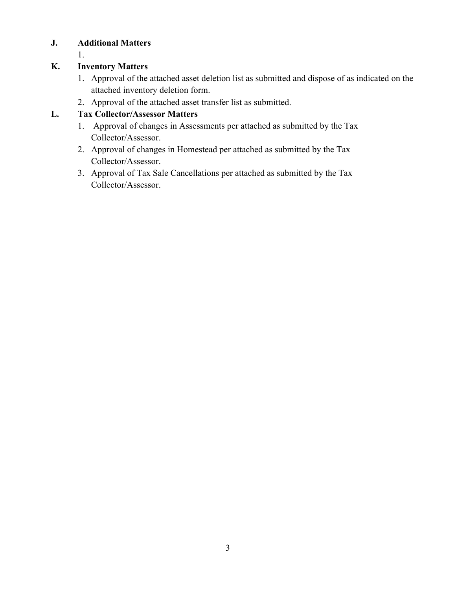## **J. Additional Matters**

1.

### **K. Inventory Matters**

- 1. Approval of the attached asset deletion list as submitted and dispose of as indicated on the attached inventory deletion form.
- 2. Approval of the attached asset transfer list as submitted.

### **L. Tax Collector/Assessor Matters**

- 1. Approval of changes in Assessments per attached as submitted by the Tax Collector/Assessor.
- 2. Approval of changes in Homestead per attached as submitted by the Tax Collector/Assessor.
- 3. Approval of Tax Sale Cancellations per attached as submitted by the Tax Collector/Assessor.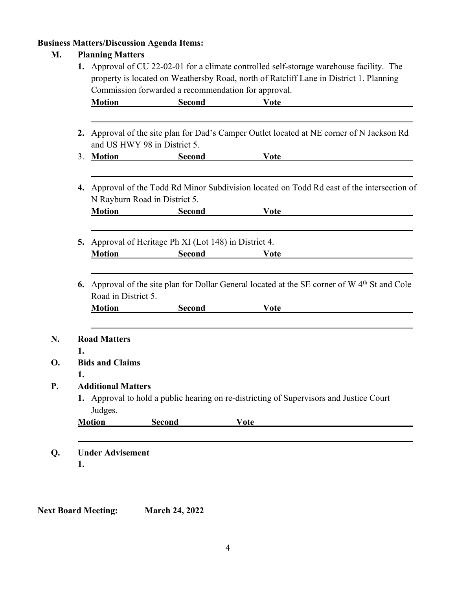# **Business Matters/Discussion Agenda Items:**

### **M. Planning Matters**

|    | <b>Motion</b>                                                                                                             | Second                                                                                                                   | <b>Vote</b>                                                                             |  |
|----|---------------------------------------------------------------------------------------------------------------------------|--------------------------------------------------------------------------------------------------------------------------|-----------------------------------------------------------------------------------------|--|
|    | 2. Approval of the site plan for Dad's Camper Outlet located at NE corner of N Jackson Rd<br>and US HWY 98 in District 5. |                                                                                                                          |                                                                                         |  |
| 3. | <b>Motion</b>                                                                                                             | <b>Second</b>                                                                                                            | <b>Vote</b>                                                                             |  |
| 4. | Approval of the Todd Rd Minor Subdivision located on Todd Rd east of the intersection of<br>N Rayburn Road in District 5. |                                                                                                                          |                                                                                         |  |
|    | <b>Motion</b>                                                                                                             | <b>Second</b>                                                                                                            | <b>Vote</b>                                                                             |  |
| 5. | <b>Motion</b>                                                                                                             | Approval of Heritage Ph XI (Lot 148) in District 4.<br><b>Second</b>                                                     | <b>Vote</b>                                                                             |  |
|    | Road in District 5.<br><b>Motion</b>                                                                                      | 6. Approval of the site plan for Dollar General located at the SE corner of W 4 <sup>th</sup> St and Cole<br><b>Vote</b> |                                                                                         |  |
|    |                                                                                                                           | <b>Second</b>                                                                                                            |                                                                                         |  |
|    | <b>Road Matters</b>                                                                                                       |                                                                                                                          |                                                                                         |  |
| 1. | <b>Bids and Claims</b>                                                                                                    |                                                                                                                          |                                                                                         |  |
| 1. |                                                                                                                           |                                                                                                                          |                                                                                         |  |
|    | <b>Additional Matters</b>                                                                                                 |                                                                                                                          |                                                                                         |  |
|    | Judges.                                                                                                                   |                                                                                                                          | 1. Approval to hold a public hearing on re-districting of Supervisors and Justice Court |  |
|    | <b>Motion</b>                                                                                                             | <b>Second</b>                                                                                                            | <b>Vote</b>                                                                             |  |
|    |                                                                                                                           |                                                                                                                          |                                                                                         |  |

**Next Board Meeting: March 24, 2022**

**N.** 

**O.** 

**Q.**